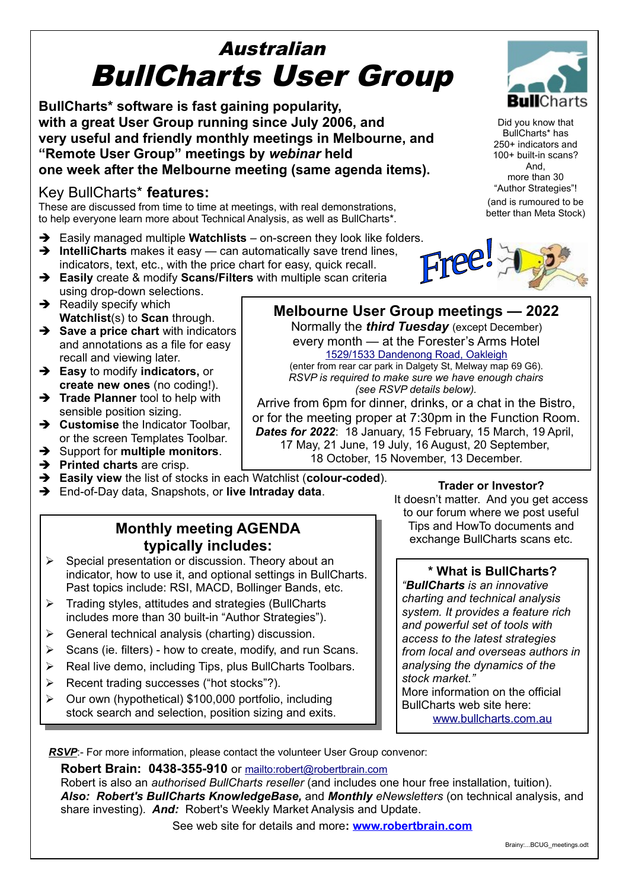# Australian BullCharts User Group

**BullCharts\* software is fast gaining popularity, with a great User Group running since July 2006, and very useful and friendly monthly meetings in Melbourne, and "Remote User Group" meetings by** *webinar* **held one week after the Melbourne meeting (same agenda items).**

#### Key BullCharts\* **features:**

These are discussed from time to time at meetings, with real demonstrations, to help everyone learn more about Technical Analysis, as well as BullCharts\*.

- ➔ Easily managed multiple **Watchlists** on-screen they look like folders.
- ➔ **IntelliCharts** makes it easy can automatically save trend lines, indicators, text, etc., with the price chart for easy, quick recall. ➔ **Easily** create & modify **Scans/Filters** with multiple scan criteria
- using drop-down selections.
- $\rightarrow$  Readily specify which **Watchlist**(s) to **Scan** through.
- ➔ **Save a price chart** with indicators and annotations as a file for easy recall and viewing later.
- ➔ **Easy** to modify **indicators,** or **create new ones** (no coding!).
- **→ Trade Planner** tool to help with sensible position sizing.
- ➔ **Customise** the Indicator Toolbar, or the screen Templates Toolbar.
- ➔ Support for **multiple monitors**.
- ➔ **Printed charts** are crisp.
- ➔ **Easily view** the list of stocks in each Watchlist (**colour-coded**).
- ➔ End-of-Day data, Snapshots, or **live Intraday data**.

#### **Monthly meeting AGENDA typically includes:**

- ➢ Special presentation or discussion. Theory about an indicator, how to use it, and optional settings in BullCharts. Past topics include: RSI, MACD, Bollinger Bands, etc.
- ➢ Trading styles, attitudes and strategies (BullCharts includes more than 30 built-in "Author Strategies").
- $\triangleright$  General technical analysis (charting) discussion.
- $\triangleright$  Scans (ie. filters) how to create, modify, and run Scans.
- ➢ Real live demo, including Tips, plus BullCharts Toolbars.
- ➢ Recent trading successes ("hot stocks"?).
- ➢ Our own (hypothetical) \$100,000 portfolio, including stock search and selection, position sizing and exits.

**Trader or Investor?** It doesn't matter. And you get access to our forum where we post useful Tips and HowTo documents and exchange BullCharts scans etc.

#### **\* What is BullCharts?**

*"BullCharts is an innovative charting and technical analysis system. It provides a feature rich and powerful set of tools with access to the latest strategies from local and overseas authors in analysing the dynamics of the stock market."* More information on the official BullCharts web site here:

[www.bullcharts.com.au](http://www.bullcharts.com.au/)

*RSVP*:- For more information, please contact the volunteer User Group convenor:

**Robert Brain: 0438-355-910** or [mailto:robert@robertbrain.com](mailto:robert@robertbrain.com?subject=BullCharts%20User%20Group)

Robert is also an *authorised BullCharts reseller* (and includes one hour free installation, tuition). *Also: Robert's BullCharts KnowledgeBase,* and *Monthly eNewsletters* (on technical analysis, and share investing)*. And:* Robert's Weekly Market Analysis and Update.

See web site for details and more**: [www.robertbrain.com](http://www.robertbrain.com/)**



Did you know that BullCharts\* has 250+ indicators and 100+ built-in scans? And, more than 30 "Author Strategies"! (and is rumoured to be better than Meta Stock)





**Melbourne User Group meetings — 2022** Normally the *third Tuesday* (except December) every month — at the Forester's Arms Hotel [1529/1533 Dandenong Road, Oakleigh](https://www.google.com.au/maps/place/Castellos+Foresters+Arms+Hotel/@-37.8930507,145.0890719,884m/data=!3m2!1e3!4b1!4m5!3m4!1s0x6ad66a6079e813bf:0xf44706af5c8244da!8m2!3d-37.893055!4d145.0912606?hl=en) (enter from rear car park in Dalgety St, Melway map 69 G6). *RSVP is required to make sure we have enough chairs (see RSVP details below).* Arrive from 6pm for dinner, drinks, or a chat in the Bistro, or for the meeting proper at 7:30pm in the Function Room. *Dates for 2022*: 18 January, 15 February, 15 March, 19 April, 17 May, 21 June, 19 July, 16 August, 20 September, 18 October, 15 November, 13 December.